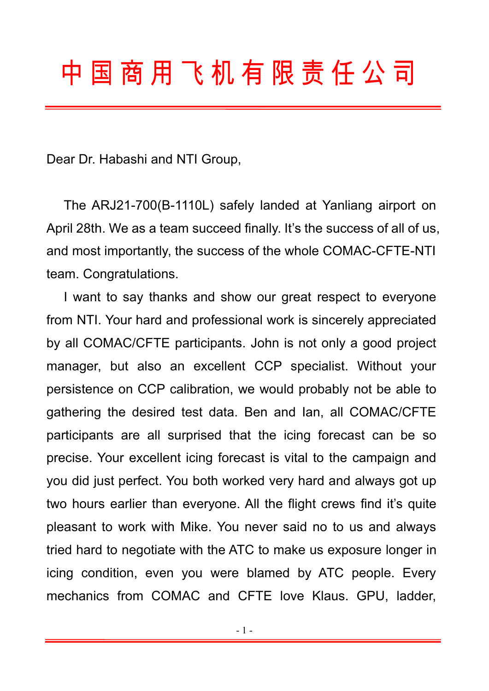## 中 国 商 用 飞 机 有 限 责 任 公 司

Dear Dr. Habashi and NTI Group,

The ARJ21-700(B-1110L) safely landed at Yanliang airport on April 28th. We as a team succeed finally. It's the success of all of us, and most importantly, the success of the whole COMAC-CFTE-NTI team. Congratulations.

I want to say thanks and show our great respect to everyone from NTI. Your hard and professional work is sincerely appreciated by all COMAC/CFTE participants. John is not only a good project manager, but also an excellent CCP specialist. Without your persistence on CCP calibration, we would probably not be able to gathering the desired test data. Ben and Ian, all COMAC/CFTE participants are all surprised that the icing forecast can be so precise. Your excellent icing forecast is vital to the campaign and you did just perfect. You both worked very hard and always got up two hours earlier than everyone. All the flight crews find it's quite pleasant to work with Mike. You never said no to us and always tried hard to negotiate with the ATC to make us exposure longer in icing condition, even you were blamed by ATC people. Every mechanics from COMAC and CFTE love Klaus. GPU, ladder,